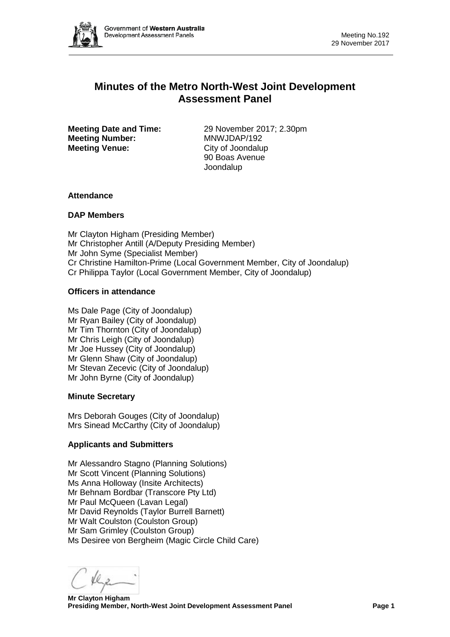

# **Minutes of the Metro North-West Joint Development Assessment Panel**

**Meeting Number:** MNWJDAP/192<br> **Meeting Venue:** City of Joondalup **Meeting Venue:** 

**Meeting Date and Time:** 29 November 2017; 2.30pm<br> **MANW.JDAP/192** 90 Boas Avenue Joondalup

# **Attendance**

# **DAP Members**

Mr Clayton Higham (Presiding Member) Mr Christopher Antill (A/Deputy Presiding Member) Mr John Syme (Specialist Member) Cr Christine Hamilton-Prime (Local Government Member, City of Joondalup) Cr Philippa Taylor (Local Government Member, City of Joondalup)

# **Officers in attendance**

Ms Dale Page (City of Joondalup) Mr Ryan Bailey (City of Joondalup) Mr Tim Thornton (City of Joondalup) Mr Chris Leigh (City of Joondalup) Mr Joe Hussey (City of Joondalup) Mr Glenn Shaw (City of Joondalup) Mr Stevan Zecevic (City of Joondalup) Mr John Byrne (City of Joondalup)

#### **Minute Secretary**

Mrs Deborah Gouges (City of Joondalup) Mrs Sinead McCarthy (City of Joondalup)

# **Applicants and Submitters**

Mr Alessandro Stagno (Planning Solutions) Mr Scott Vincent (Planning Solutions) Ms Anna Holloway (Insite Architects) Mr Behnam Bordbar (Transcore Pty Ltd) Mr Paul McQueen (Lavan Legal) Mr David Reynolds (Taylor Burrell Barnett) Mr Walt Coulston (Coulston Group) Mr Sam Grimley (Coulston Group) Ms Desiree von Bergheim (Magic Circle Child Care)

 **Mr Clayton Higham Presiding Member, North-West Joint Development Assessment Panel Page 1**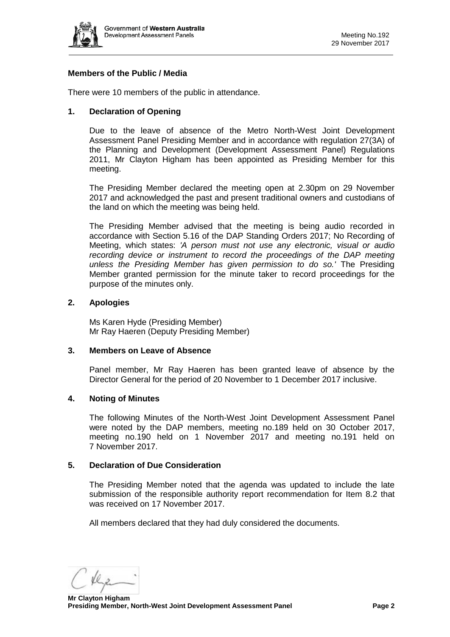

# **Members of the Public / Media**

There were 10 members of the public in attendance.

# **1. Declaration of Opening**

Due to the leave of absence of the Metro North-West Joint Development Assessment Panel Presiding Member and in accordance with regulation 27(3A) of the Planning and Development (Development Assessment Panel) Regulations 2011, Mr Clayton Higham has been appointed as Presiding Member for this meeting.

The Presiding Member declared the meeting open at 2.30pm on 29 November 2017 and acknowledged the past and present traditional owners and custodians of the land on which the meeting was being held.

The Presiding Member advised that the meeting is being audio recorded in accordance with Section 5.16 of the DAP Standing Orders 2017; No Recording of Meeting, which states: *'A person must not use any electronic, visual or audio recording device or instrument to record the proceedings of the DAP meeting unless the Presiding Member has given permission to do so.'* The Presiding Member granted permission for the minute taker to record proceedings for the purpose of the minutes only.

# **2. Apologies**

Ms Karen Hyde (Presiding Member) Mr Ray Haeren (Deputy Presiding Member)

#### **3. Members on Leave of Absence**

Panel member, Mr Ray Haeren has been granted leave of absence by the Director General for the period of 20 November to 1 December 2017 inclusive.

# **4. Noting of Minutes**

The following Minutes of the North-West Joint Development Assessment Panel were noted by the DAP members, meeting no.189 held on 30 October 2017, meeting no.190 held on 1 November 2017 and meeting no.191 held on 7 November 2017.

#### **5. Declaration of Due Consideration**

The Presiding Member noted that the agenda was updated to include the late submission of the responsible authority report recommendation for Item 8.2 that was received on 17 November 2017.

All members declared that they had duly considered the documents.

 **Mr Clayton Higham Presiding Member, North-West Joint Development Assessment Panel Page 2**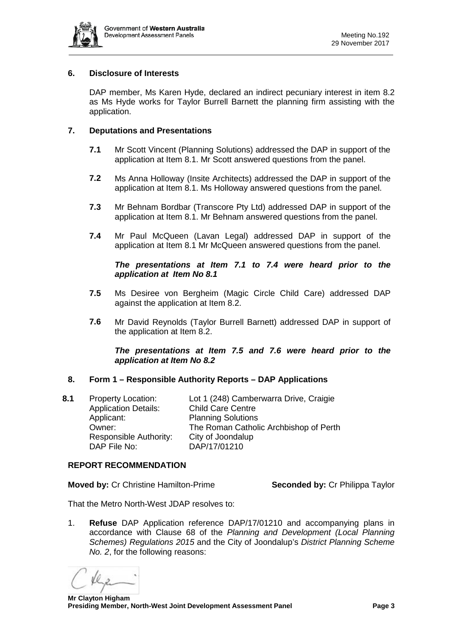

# **6. Disclosure of Interests**

DAP member, Ms Karen Hyde, declared an indirect pecuniary interest in item 8.2 as Ms Hyde works for Taylor Burrell Barnett the planning firm assisting with the application.

# **7. Deputations and Presentations**

- **7.1** Mr Scott Vincent (Planning Solutions) addressed the DAP in support of the application at Item 8.1. Mr Scott answered questions from the panel.
- **7.2** Ms Anna Holloway (Insite Architects) addressed the DAP in support of the application at Item 8.1. Ms Holloway answered questions from the panel.
- **7.3** Mr Behnam Bordbar (Transcore Pty Ltd) addressed DAP in support of the application at Item 8.1. Mr Behnam answered questions from the panel.
- **7.4** Mr Paul McQueen (Lavan Legal) addressed DAP in support of the application at Item 8.1 Mr McQueen answered questions from the panel.

# *The presentations at Item 7.1 to 7.4 were heard prior to the application at Item No 8.1*

- **7.5** Ms Desiree von Bergheim (Magic Circle Child Care) addressed DAP against the application at Item 8.2.
- **7.6** Mr David Reynolds (Taylor Burrell Barnett) addressed DAP in support of the application at Item 8.2.

# *The presentations at Item 7.5 and 7.6 were heard prior to the application at Item No 8.2*

# **8. Form 1 – Responsible Authority Reports – DAP Applications**

**8.1** Property Location: Lot 1 (248) Camberwarra Drive, Craigie Application Details: Child Care Centre Applicant: Planning Solutions Owner: The Roman Catholic Archbishop of Perth Responsible Authority: City of Joondalup DAP File No: DAP/17/01210

#### **REPORT RECOMMENDATION**

**Moved by:** Cr Christine Hamilton-Prime **Seconded by:** Cr Philippa Taylor

That the Metro North-West JDAP resolves to:

1. **Refuse** DAP Application reference DAP/17/01210 and accompanying plans in accordance with Clause 68 of the *Planning and Development (Local Planning Schemes) Regulations 2015* and the City of Joondalup's *District Planning Scheme No. 2*, for the following reasons: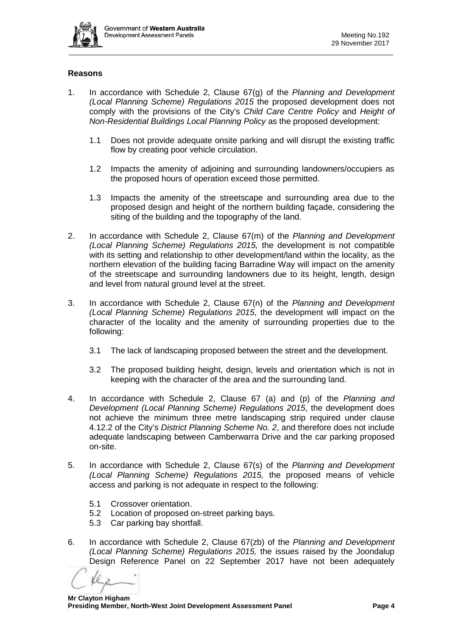

# **Reasons**

- 1. In accordance with Schedule 2, Clause 67(g) of the *Planning and Development (Local Planning Scheme) Regulations 2015* the proposed development does not comply with the provisions of the City's *Child Care Centre Policy* and *Height of Non-Residential Buildings Local Planning Policy* as the proposed development:
	- 1.1 Does not provide adequate onsite parking and will disrupt the existing traffic flow by creating poor vehicle circulation.
	- 1.2 Impacts the amenity of adjoining and surrounding landowners/occupiers as the proposed hours of operation exceed those permitted.
	- 1.3 Impacts the amenity of the streetscape and surrounding area due to the proposed design and height of the northern building façade, considering the siting of the building and the topography of the land.
- 2. In accordance with Schedule 2, Clause 67(m) of the *Planning and Development (Local Planning Scheme) Regulations 2015,* the development is not compatible with its setting and relationship to other development/land within the locality, as the northern elevation of the building facing Barradine Way will impact on the amenity of the streetscape and surrounding landowners due to its height, length, design and level from natural ground level at the street.
- 3. In accordance with Schedule 2, Clause 67(n) of the *Planning and Development (Local Planning Scheme) Regulations 2015*, the development will impact on the character of the locality and the amenity of surrounding properties due to the following:
	- 3.1 The lack of landscaping proposed between the street and the development.
	- 3.2 The proposed building height, design, levels and orientation which is not in keeping with the character of the area and the surrounding land.
- 4. In accordance with Schedule 2, Clause 67 (a) and (p) of the *Planning and Development (Local Planning Scheme) Regulations 2015*, the development does not achieve the minimum three metre landscaping strip required under clause 4.12.2 of the City's *District Planning Scheme No. 2*, and therefore does not include adequate landscaping between Camberwarra Drive and the car parking proposed on-site.
- 5. In accordance with Schedule 2, Clause 67(s) of the *Planning and Development (Local Planning Scheme) Regulations 2015,* the proposed means of vehicle access and parking is not adequate in respect to the following:
	- 5.1 Crossover orientation.
	- 5.2 Location of proposed on-street parking bays.
	- 5.3 Car parking bay shortfall.
- 6. In accordance with Schedule 2, Clause 67(zb) of the *Planning and Development (Local Planning Scheme) Regulations 2015,* the issues raised by the Joondalup Design Reference Panel on 22 September 2017 have not been adequately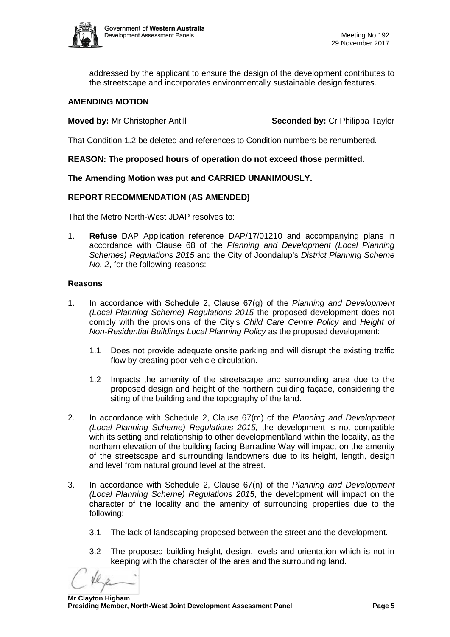

addressed by the applicant to ensure the design of the development contributes to the streetscape and incorporates environmentally sustainable design features.

# **AMENDING MOTION**

**Moved by:** Mr Christopher Antill **Seconded by: Cr Philippa Taylor** 

That Condition 1.2 be deleted and references to Condition numbers be renumbered.

# **REASON: The proposed hours of operation do not exceed those permitted.**

# **The Amending Motion was put and CARRIED UNANIMOUSLY.**

# **REPORT RECOMMENDATION (AS AMENDED)**

That the Metro North-West JDAP resolves to:

1. **Refuse** DAP Application reference DAP/17/01210 and accompanying plans in accordance with Clause 68 of the *Planning and Development (Local Planning Schemes) Regulations 2015* and the City of Joondalup's *District Planning Scheme No. 2*, for the following reasons:

#### **Reasons**

- 1. In accordance with Schedule 2, Clause 67(g) of the *Planning and Development (Local Planning Scheme) Regulations 2015* the proposed development does not comply with the provisions of the City's *Child Care Centre Policy* and *Height of Non-Residential Buildings Local Planning Policy* as the proposed development:
	- 1.1 Does not provide adequate onsite parking and will disrupt the existing traffic flow by creating poor vehicle circulation.
	- 1.2 Impacts the amenity of the streetscape and surrounding area due to the proposed design and height of the northern building façade, considering the siting of the building and the topography of the land.
- 2. In accordance with Schedule 2, Clause 67(m) of the *Planning and Development (Local Planning Scheme) Regulations 2015,* the development is not compatible with its setting and relationship to other development/land within the locality, as the northern elevation of the building facing Barradine Way will impact on the amenity of the streetscape and surrounding landowners due to its height, length, design and level from natural ground level at the street.
- 3. In accordance with Schedule 2, Clause 67(n) of the *Planning and Development (Local Planning Scheme) Regulations 2015*, the development will impact on the character of the locality and the amenity of surrounding properties due to the following:
	- 3.1 The lack of landscaping proposed between the street and the development.
	- 3.2 The proposed building height, design, levels and orientation which is not in keeping with the character of the area and the surrounding land.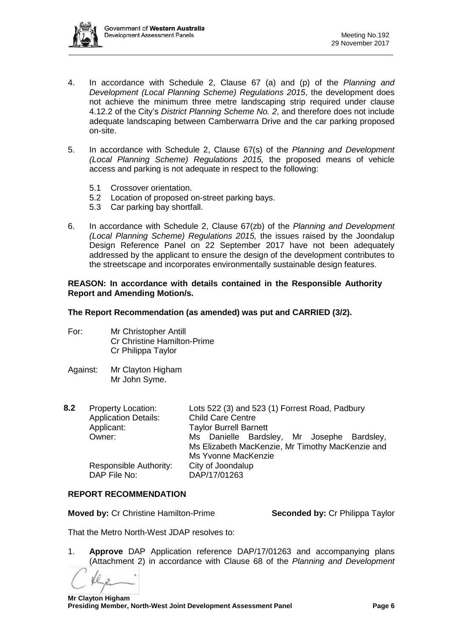

- 4. In accordance with Schedule 2, Clause 67 (a) and (p) of the *Planning and Development (Local Planning Scheme) Regulations 2015*, the development does not achieve the minimum three metre landscaping strip required under clause 4.12.2 of the City's *District Planning Scheme No. 2*, and therefore does not include adequate landscaping between Camberwarra Drive and the car parking proposed on-site.
- 5. In accordance with Schedule 2, Clause 67(s) of the *Planning and Development (Local Planning Scheme) Regulations 2015,* the proposed means of vehicle access and parking is not adequate in respect to the following:
	- 5.1 Crossover orientation.
	- 5.2 Location of proposed on-street parking bays.
	- 5.3 Car parking bay shortfall.
- 6. In accordance with Schedule 2, Clause 67(zb) of the *Planning and Development (Local Planning Scheme) Regulations 2015,* the issues raised by the Joondalup Design Reference Panel on 22 September 2017 have not been adequately addressed by the applicant to ensure the design of the development contributes to the streetscape and incorporates environmentally sustainable design features.

#### **REASON: In accordance with details contained in the Responsible Authority Report and Amending Motion/s.**

# **The Report Recommendation (as amended) was put and CARRIED (3/2).**

- For: Mr Christopher Antill Cr Christine Hamilton-Prime Cr Philippa Taylor
- Against: Mr Clayton Higham Mr John Syme.
- **8.2** Property Location: Lots 522 (3) and 523 (1) Forrest Road, Padbury Application Details: Child Care Centre Applicant: Taylor Burrell Barnett<br>
Owner: Ms. Danielle Bards Ms Danielle Bardsley, Mr Josephe Bardsley, Ms Elizabeth MacKenzie, Mr Timothy MacKenzie and Ms Yvonne MacKenzie Responsible Authority: City of Joondalup DAP File No: DAP/17/01263

# **REPORT RECOMMENDATION**

**Moved by:** Cr Christine Hamilton-Prime **Seconded by:** Cr Philippa Taylor

That the Metro North-West JDAP resolves to:

1. **Approve** DAP Application reference DAP/17/01263 and accompanying plans (Attachment 2) in accordance with Clause 68 of the *Planning and Development*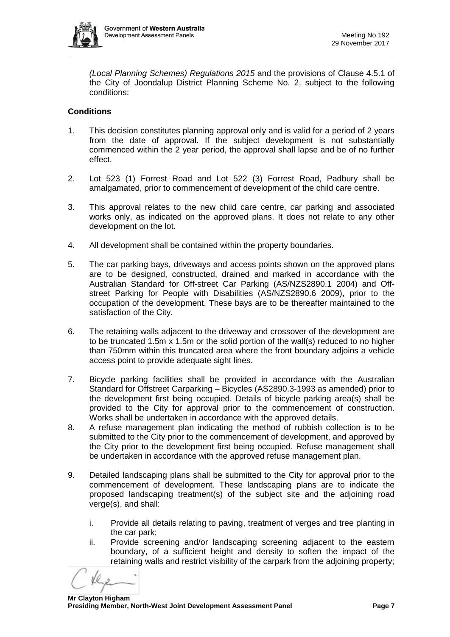

*(Local Planning Schemes) Regulations 2015* and the provisions of Clause 4.5.1 of the City of Joondalup District Planning Scheme No. 2, subject to the following conditions:

# **Conditions**

- 1. This decision constitutes planning approval only and is valid for a period of 2 years from the date of approval. If the subject development is not substantially commenced within the 2 year period, the approval shall lapse and be of no further effect.
- 2. Lot 523 (1) Forrest Road and Lot 522 (3) Forrest Road, Padbury shall be amalgamated, prior to commencement of development of the child care centre.
- 3. This approval relates to the new child care centre, car parking and associated works only, as indicated on the approved plans. It does not relate to any other development on the lot.
- 4. All development shall be contained within the property boundaries.
- 5. The car parking bays, driveways and access points shown on the approved plans are to be designed, constructed, drained and marked in accordance with the Australian Standard for Off-street Car Parking (AS/NZS2890.1 2004) and Offstreet Parking for People with Disabilities (AS/NZS2890.6 2009), prior to the occupation of the development. These bays are to be thereafter maintained to the satisfaction of the City.
- 6. The retaining walls adjacent to the driveway and crossover of the development are to be truncated 1.5m x 1.5m or the solid portion of the wall(s) reduced to no higher than 750mm within this truncated area where the front boundary adjoins a vehicle access point to provide adequate sight lines.
- 7. Bicycle parking facilities shall be provided in accordance with the Australian Standard for Offstreet Carparking – Bicycles (AS2890.3-1993 as amended) prior to the development first being occupied. Details of bicycle parking area(s) shall be provided to the City for approval prior to the commencement of construction. Works shall be undertaken in accordance with the approved details.
- 8. A refuse management plan indicating the method of rubbish collection is to be submitted to the City prior to the commencement of development, and approved by the City prior to the development first being occupied. Refuse management shall be undertaken in accordance with the approved refuse management plan.
- 9. Detailed landscaping plans shall be submitted to the City for approval prior to the commencement of development. These landscaping plans are to indicate the proposed landscaping treatment(s) of the subject site and the adjoining road verge(s), and shall:
	- i. Provide all details relating to paving, treatment of verges and tree planting in the car park;
	- ii. Provide screening and/or landscaping screening adjacent to the eastern boundary, of a sufficient height and density to soften the impact of the retaining walls and restrict visibility of the carpark from the adjoining property;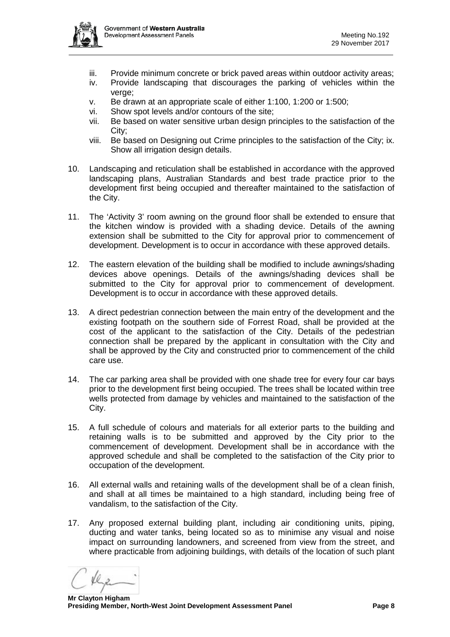

- iii. Provide minimum concrete or brick paved areas within outdoor activity areas;
- iv. Provide landscaping that discourages the parking of vehicles within the verge;
- v. Be drawn at an appropriate scale of either 1:100, 1:200 or 1:500;
- vi. Show spot levels and/or contours of the site;
- vii. Be based on water sensitive urban design principles to the satisfaction of the City;
- viii. Be based on Designing out Crime principles to the satisfaction of the City; ix. Show all irrigation design details.
- 10. Landscaping and reticulation shall be established in accordance with the approved landscaping plans, Australian Standards and best trade practice prior to the development first being occupied and thereafter maintained to the satisfaction of the City.
- 11. The 'Activity 3' room awning on the ground floor shall be extended to ensure that the kitchen window is provided with a shading device. Details of the awning extension shall be submitted to the City for approval prior to commencement of development. Development is to occur in accordance with these approved details.
- 12. The eastern elevation of the building shall be modified to include awnings/shading devices above openings. Details of the awnings/shading devices shall be submitted to the City for approval prior to commencement of development. Development is to occur in accordance with these approved details.
- 13. A direct pedestrian connection between the main entry of the development and the existing footpath on the southern side of Forrest Road, shall be provided at the cost of the applicant to the satisfaction of the City. Details of the pedestrian connection shall be prepared by the applicant in consultation with the City and shall be approved by the City and constructed prior to commencement of the child care use.
- 14. The car parking area shall be provided with one shade tree for every four car bays prior to the development first being occupied. The trees shall be located within tree wells protected from damage by vehicles and maintained to the satisfaction of the City.
- 15. A full schedule of colours and materials for all exterior parts to the building and retaining walls is to be submitted and approved by the City prior to the commencement of development. Development shall be in accordance with the approved schedule and shall be completed to the satisfaction of the City prior to occupation of the development.
- 16. All external walls and retaining walls of the development shall be of a clean finish, and shall at all times be maintained to a high standard, including being free of vandalism, to the satisfaction of the City.
- 17. Any proposed external building plant, including air conditioning units, piping, ducting and water tanks, being located so as to minimise any visual and noise impact on surrounding landowners, and screened from view from the street, and where practicable from adjoining buildings, with details of the location of such plant

 **Mr Clayton Higham Presiding Member, North-West Joint Development Assessment Panel Page 8**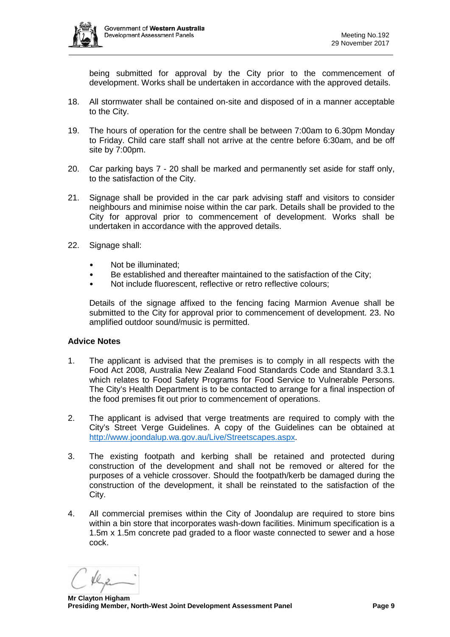

being submitted for approval by the City prior to the commencement of development. Works shall be undertaken in accordance with the approved details.

- 18. All stormwater shall be contained on-site and disposed of in a manner acceptable to the City.
- 19. The hours of operation for the centre shall be between 7:00am to 6.30pm Monday to Friday. Child care staff shall not arrive at the centre before 6:30am, and be off site by 7:00pm.
- 20. Car parking bays 7 20 shall be marked and permanently set aside for staff only, to the satisfaction of the City.
- 21. Signage shall be provided in the car park advising staff and visitors to consider neighbours and minimise noise within the car park. Details shall be provided to the City for approval prior to commencement of development. Works shall be undertaken in accordance with the approved details.
- 22. Signage shall:
	- Not be illuminated;
	- Be established and thereafter maintained to the satisfaction of the City;
	- Not include fluorescent, reflective or retro reflective colours;

Details of the signage affixed to the fencing facing Marmion Avenue shall be submitted to the City for approval prior to commencement of development. 23. No amplified outdoor sound/music is permitted.

#### **Advice Notes**

- 1. The applicant is advised that the premises is to comply in all respects with the Food Act 2008, Australia New Zealand Food Standards Code and Standard 3.3.1 which relates to Food Safety Programs for Food Service to Vulnerable Persons. The City's Health Department is to be contacted to arrange for a final inspection of the food premises fit out prior to commencement of operations.
- 2. The applicant is advised that verge treatments are required to comply with the City's Street Verge Guidelines. A copy of the Guidelines can be obtained at [http://www.joondalup.wa.gov.au/Live/Streetscapes.aspx.](http://www.joondalup.wa.gov.au/Live/Streetscapes.aspx)
- 3. The existing footpath and kerbing shall be retained and protected during construction of the development and shall not be removed or altered for the purposes of a vehicle crossover. Should the footpath/kerb be damaged during the construction of the development, it shall be reinstated to the satisfaction of the City.
- 4. All commercial premises within the City of Joondalup are required to store bins within a bin store that incorporates wash-down facilities. Minimum specification is a 1.5m x 1.5m concrete pad graded to a floor waste connected to sewer and a hose cock.

 **Mr Clayton Higham Presiding Member, North-West Joint Development Assessment Panel Page 9**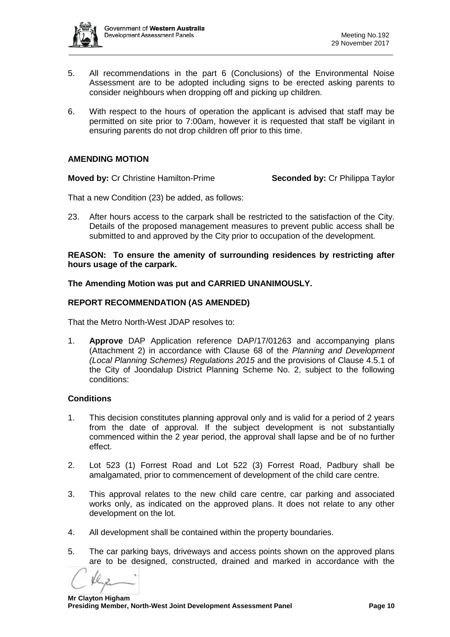

- 5. All recommendations in the part 6 (Conclusions) of the Environmental Noise Assessment are to be adopted including signs to be erected asking parents to consider neighbours when dropping off and picking up children.
- 6. With respect to the hours of operation the applicant is advised that staff may be permitted on site prior to 7:00am, however it is requested that staff be vigilant in ensuring parents do not drop children off prior to this time.

# **AMENDING MOTION**

**Moved by:** Cr Christine Hamilton-Prime **Seconded by:** Cr Philippa Taylor

That a new Condition (23) be added, as follows:

23. After hours access to the carpark shall be restricted to the satisfaction of the City. Details of the proposed management measures to prevent public access shall be submitted to and approved by the City prior to occupation of the development.

#### **REASON: To ensure the amenity of surrounding residences by restricting after hours usage of the carpark.**

# **The Amending Motion was put and CARRIED UNANIMOUSLY.**

# **REPORT RECOMMENDATION (AS AMENDED)**

That the Metro North-West JDAP resolves to:

1. **Approve** DAP Application reference DAP/17/01263 and accompanying plans (Attachment 2) in accordance with Clause 68 of the *Planning and Development (Local Planning Schemes) Regulations 2015* and the provisions of Clause 4.5.1 of the City of Joondalup District Planning Scheme No. 2, subject to the following conditions:

#### **Conditions**

- 1. This decision constitutes planning approval only and is valid for a period of 2 years from the date of approval. If the subject development is not substantially commenced within the 2 year period, the approval shall lapse and be of no further effect.
- 2. Lot 523 (1) Forrest Road and Lot 522 (3) Forrest Road, Padbury shall be amalgamated, prior to commencement of development of the child care centre.
- 3. This approval relates to the new child care centre, car parking and associated works only, as indicated on the approved plans. It does not relate to any other development on the lot.
- 4. All development shall be contained within the property boundaries.
- 5. The car parking bays, driveways and access points shown on the approved plans are to be designed, constructed, drained and marked in accordance with the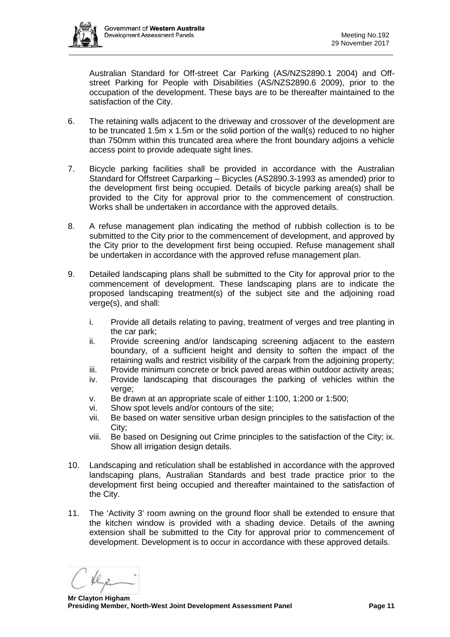

Australian Standard for Off-street Car Parking (AS/NZS2890.1 2004) and Offstreet Parking for People with Disabilities (AS/NZS2890.6 2009), prior to the occupation of the development. These bays are to be thereafter maintained to the satisfaction of the City.

- 6. The retaining walls adjacent to the driveway and crossover of the development are to be truncated 1.5m x 1.5m or the solid portion of the wall(s) reduced to no higher than 750mm within this truncated area where the front boundary adjoins a vehicle access point to provide adequate sight lines.
- 7. Bicycle parking facilities shall be provided in accordance with the Australian Standard for Offstreet Carparking – Bicycles (AS2890.3-1993 as amended) prior to the development first being occupied. Details of bicycle parking area(s) shall be provided to the City for approval prior to the commencement of construction. Works shall be undertaken in accordance with the approved details.
- 8. A refuse management plan indicating the method of rubbish collection is to be submitted to the City prior to the commencement of development, and approved by the City prior to the development first being occupied. Refuse management shall be undertaken in accordance with the approved refuse management plan.
- 9. Detailed landscaping plans shall be submitted to the City for approval prior to the commencement of development. These landscaping plans are to indicate the proposed landscaping treatment(s) of the subject site and the adjoining road verge(s), and shall:
	- i. Provide all details relating to paving, treatment of verges and tree planting in the car park;
	- ii. Provide screening and/or landscaping screening adjacent to the eastern boundary, of a sufficient height and density to soften the impact of the retaining walls and restrict visibility of the carpark from the adjoining property;
	- iii. Provide minimum concrete or brick paved areas within outdoor activity areas;
	- iv. Provide landscaping that discourages the parking of vehicles within the verge;
	- v. Be drawn at an appropriate scale of either 1:100, 1:200 or 1:500;
	- vi. Show spot levels and/or contours of the site;
	- vii. Be based on water sensitive urban design principles to the satisfaction of the City;
	- viii. Be based on Designing out Crime principles to the satisfaction of the City; ix. Show all irrigation design details.
- 10. Landscaping and reticulation shall be established in accordance with the approved landscaping plans, Australian Standards and best trade practice prior to the development first being occupied and thereafter maintained to the satisfaction of the City.
- 11. The 'Activity 3' room awning on the ground floor shall be extended to ensure that the kitchen window is provided with a shading device. Details of the awning extension shall be submitted to the City for approval prior to commencement of development. Development is to occur in accordance with these approved details.

 **Mr Clayton Higham Presiding Member, North-West Joint Development Assessment Panel Page 11**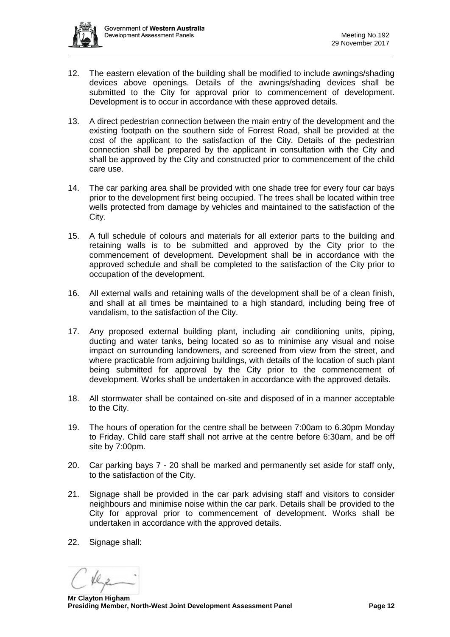- 12. The eastern elevation of the building shall be modified to include awnings/shading devices above openings. Details of the awnings/shading devices shall be submitted to the City for approval prior to commencement of development. Development is to occur in accordance with these approved details.
- 13. A direct pedestrian connection between the main entry of the development and the existing footpath on the southern side of Forrest Road, shall be provided at the cost of the applicant to the satisfaction of the City. Details of the pedestrian connection shall be prepared by the applicant in consultation with the City and shall be approved by the City and constructed prior to commencement of the child care use.
- 14. The car parking area shall be provided with one shade tree for every four car bays prior to the development first being occupied. The trees shall be located within tree wells protected from damage by vehicles and maintained to the satisfaction of the City.
- 15. A full schedule of colours and materials for all exterior parts to the building and retaining walls is to be submitted and approved by the City prior to the commencement of development. Development shall be in accordance with the approved schedule and shall be completed to the satisfaction of the City prior to occupation of the development.
- 16. All external walls and retaining walls of the development shall be of a clean finish, and shall at all times be maintained to a high standard, including being free of vandalism, to the satisfaction of the City.
- 17. Any proposed external building plant, including air conditioning units, piping, ducting and water tanks, being located so as to minimise any visual and noise impact on surrounding landowners, and screened from view from the street, and where practicable from adjoining buildings, with details of the location of such plant being submitted for approval by the City prior to the commencement of development. Works shall be undertaken in accordance with the approved details.
- 18. All stormwater shall be contained on-site and disposed of in a manner acceptable to the City.
- 19. The hours of operation for the centre shall be between 7:00am to 6.30pm Monday to Friday. Child care staff shall not arrive at the centre before 6:30am, and be off site by 7:00pm.
- 20. Car parking bays 7 20 shall be marked and permanently set aside for staff only, to the satisfaction of the City.
- 21. Signage shall be provided in the car park advising staff and visitors to consider neighbours and minimise noise within the car park. Details shall be provided to the City for approval prior to commencement of development. Works shall be undertaken in accordance with the approved details.
- 22. Signage shall:

 **Mr Clayton Higham Presiding Member, North-West Joint Development Assessment Panel Page 12**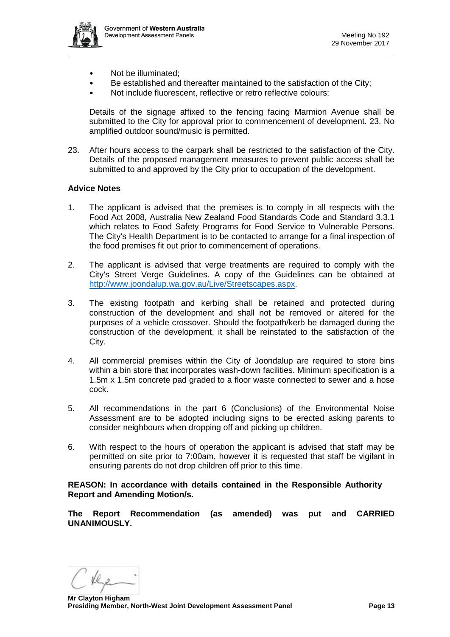

- Not be illuminated:
- Be established and thereafter maintained to the satisfaction of the City:
- Not include fluorescent, reflective or retro reflective colours;

Details of the signage affixed to the fencing facing Marmion Avenue shall be submitted to the City for approval prior to commencement of development. 23. No amplified outdoor sound/music is permitted.

23. After hours access to the carpark shall be restricted to the satisfaction of the City. Details of the proposed management measures to prevent public access shall be submitted to and approved by the City prior to occupation of the development.

# **Advice Notes**

- 1. The applicant is advised that the premises is to comply in all respects with the Food Act 2008, Australia New Zealand Food Standards Code and Standard 3.3.1 which relates to Food Safety Programs for Food Service to Vulnerable Persons. The City's Health Department is to be contacted to arrange for a final inspection of the food premises fit out prior to commencement of operations.
- 2. The applicant is advised that verge treatments are required to comply with the City's Street Verge Guidelines. A copy of the Guidelines can be obtained at [http://www.joondalup.wa.gov.au/Live/Streetscapes.aspx.](http://www.joondalup.wa.gov.au/Live/Streetscapes.aspx)
- 3. The existing footpath and kerbing shall be retained and protected during construction of the development and shall not be removed or altered for the purposes of a vehicle crossover. Should the footpath/kerb be damaged during the construction of the development, it shall be reinstated to the satisfaction of the City.
- 4. All commercial premises within the City of Joondalup are required to store bins within a bin store that incorporates wash-down facilities. Minimum specification is a 1.5m x 1.5m concrete pad graded to a floor waste connected to sewer and a hose cock.
- 5. All recommendations in the part 6 (Conclusions) of the Environmental Noise Assessment are to be adopted including signs to be erected asking parents to consider neighbours when dropping off and picking up children.
- 6. With respect to the hours of operation the applicant is advised that staff may be permitted on site prior to 7:00am, however it is requested that staff be vigilant in ensuring parents do not drop children off prior to this time.

**REASON: In accordance with details contained in the Responsible Authority Report and Amending Motion/s.** 

**The Report Recommendation (as amended) was put and CARRIED UNANIMOUSLY.**

 **Mr Clayton Higham Presiding Member, North-West Joint Development Assessment Panel Page 13**